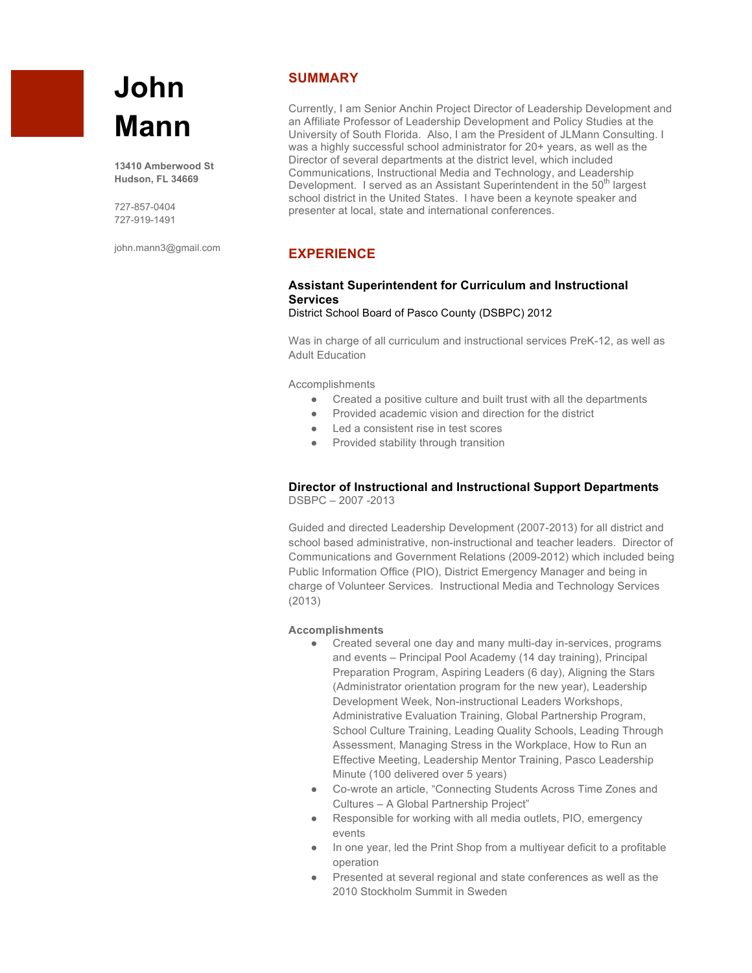# **John Mann**

**13410 Amberwood St Hudson, FL 34669**

727-857-0404 727-919-1491

john.mann3@gmail.com

### **SUMMARY**

Currently, I am Senior Anchin Project Director of Leadership Development and an Affiliate Professor of Leadership Development and Policy Studies at the University of South Florida. Also, I am the President of JLMann Consulting. I was a highly successful school administrator for 20+ years, as well as the Director of several departments at the district level, which included Communications, Instructional Media and Technology, and Leadership Development. I served as an Assistant Superintendent in the 50<sup>th</sup> largest school district in the United States. I have been a keynote speaker and presenter at local, state and international conferences.

# **EXPERIENCE**

# **Assistant Superintendent for Curriculum and Instructional Services**

District School Board of Pasco County (DSBPC) 2012

Was in charge of all curriculum and instructional services PreK-12, as well as Adult Education

Accomplishments

- Created a positive culture and built trust with all the departments
- Provided academic vision and direction for the district
- Led a consistent rise in test scores
- Provided stability through transition

#### **Director of Instructional and Instructional Support Departments** DSBPC – 2007 -2013

Guided and directed Leadership Development (2007-2013) for all district and school based administrative, non-instructional and teacher leaders. Director of Communications and Government Relations (2009-2012) which included being Public Information Office (PIO), District Emergency Manager and being in charge of Volunteer Services. Instructional Media and Technology Services (2013)

#### **Accomplishments**

- Created several one day and many multi-day in-services, programs and events – Principal Pool Academy (14 day training), Principal Preparation Program, Aspiring Leaders (6 day), Aligning the Stars (Administrator orientation program for the new year), Leadership Development Week, Non-instructional Leaders Workshops, Administrative Evaluation Training, Global Partnership Program, School Culture Training, Leading Quality Schools, Leading Through Assessment, Managing Stress in the Workplace, How to Run an Effective Meeting, Leadership Mentor Training, Pasco Leadership Minute (100 delivered over 5 years)
- Co-wrote an article, "Connecting Students Across Time Zones and Cultures – A Global Partnership Project"
- Responsible for working with all media outlets, PIO, emergency events
- In one year, led the Print Shop from a multiyear deficit to a profitable operation
- Presented at several regional and state conferences as well as the 2010 Stockholm Summit in Sweden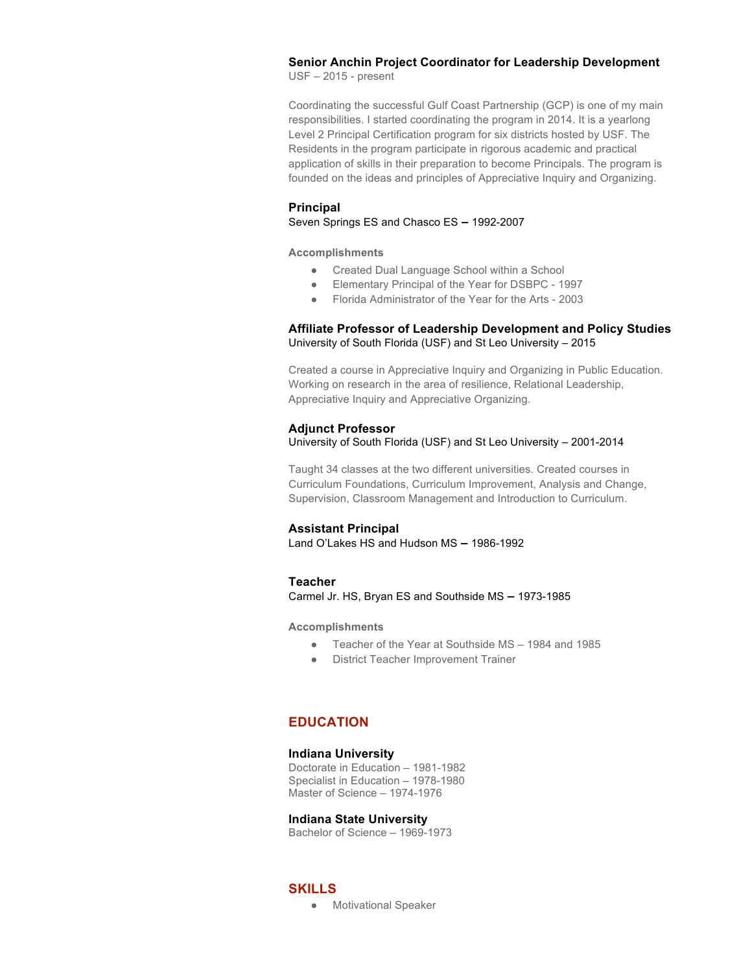# **Senior Anchin Project Coordinator for Leadership Development**

USF – 2015 - present

Coordinating the successful Gulf Coast Partnership (GCP) is one of my main responsibilities. I started coordinating the program in 2014. It is a yearlong Level 2 Principal Certification program for six districts hosted by USF. The Residents in the program participate in rigorous academic and practical application of skills in their preparation to become Principals. The program is founded on the ideas and principles of Appreciative Inquiry and Organizing.

#### **Principal**

Seven Springs ES and Chasco ES **–** 1992-2007

**Accomplishments**

- Created Dual Language School within a School
- Elementary Principal of the Year for DSBPC 1997
- Florida Administrator of the Year for the Arts 2003

#### **Affiliate Professor of Leadership Development and Policy Studies** University of South Florida (USF) and St Leo University – 2015

Created a course in Appreciative Inquiry and Organizing in Public Education. Working on research in the area of resilience, Relational Leadership, Appreciative Inquiry and Appreciative Organizing.

#### **Adjunct Professor** University of South Florida (USF) and St Leo University – 2001-2014

Taught 34 classes at the two different universities. Created courses in Curriculum Foundations, Curriculum Improvement, Analysis and Change, Supervision, Classroom Management and Introduction to Curriculum.

#### **Assistant Principal**

Land O'Lakes HS and Hudson MS **–** 1986-1992

#### **Teacher**

Carmel Jr. HS, Bryan ES and Southside MS **–** 1973-1985

**Accomplishments**

- Teacher of the Year at Southside MS 1984 and 1985
- District Teacher Improvement Trainer

# **EDUCATION**

#### **Indiana University**

Doctorate in Education – 1981-1982 Specialist in Education – 1978-1980 Master of Science – 1974-1976

#### **Indiana State University**

Bachelor of Science – 1969-1973

# **SKILLS**

● Motivational Speaker